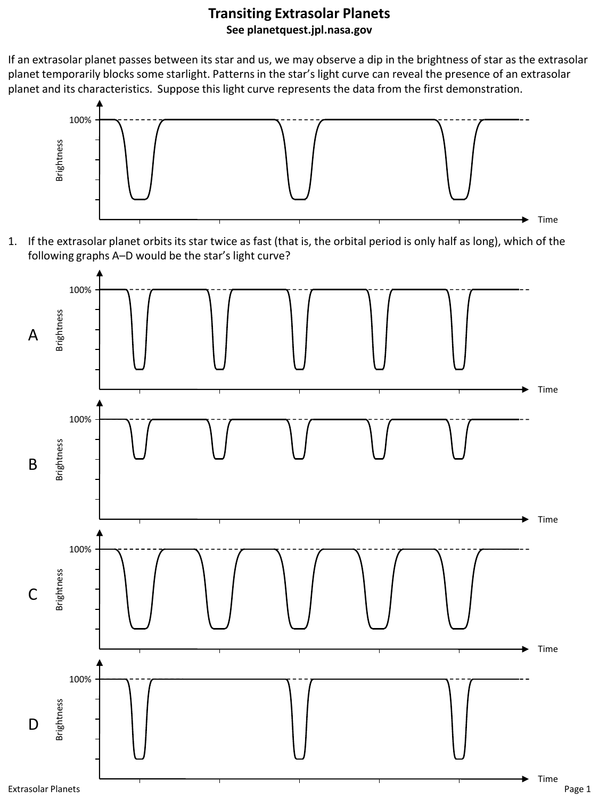## **Transiting Extrasolar Planets See planetquest.jpl.nasa.gov**

If an extrasolar planet passes between its star and us, we may observe a dip in the brightness of star as the extrasolar planet temporarily blocks some starlight. Patterns in the star's light curve can reveal the presence of an extrasolar planet and its characteristics. Suppose this light curve represents the data from the first demonstration.



1. If the extrasolar planet orbits its star twice as fast (that is, the orbital period is only half as long), which of the following graphs A–D would be the star's light curve?